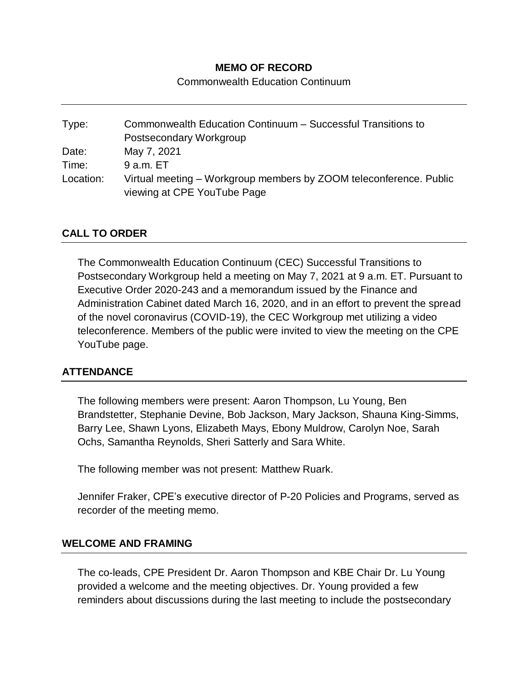## **MEMO OF RECORD**

Commonwealth Education Continuum

Type: Commonwealth Education Continuum – Successful Transitions to Postsecondary Workgroup Date: May 7, 2021 Time: 9 a.m. ET Location: Virtual meeting – Workgroup members by ZOOM teleconference. Public viewing at CPE YouTube Page

#### **CALL TO ORDER**

The Commonwealth Education Continuum (CEC) Successful Transitions to Postsecondary Workgroup held a meeting on May 7, 2021 at 9 a.m. ET. Pursuant to Executive Order 2020-243 and a memorandum issued by the Finance and Administration Cabinet dated March 16, 2020, and in an effort to prevent the spread of the novel coronavirus (COVID-19), the CEC Workgroup met utilizing a video teleconference. Members of the public were invited to view the meeting on the CPE YouTube page.

#### **ATTENDANCE**

The following members were present: Aaron Thompson, Lu Young, Ben Brandstetter, Stephanie Devine, Bob Jackson, Mary Jackson, Shauna King-Simms, Barry Lee, Shawn Lyons, Elizabeth Mays, Ebony Muldrow, Carolyn Noe, Sarah Ochs, Samantha Reynolds, Sheri Satterly and Sara White.

The following member was not present: Matthew Ruark.

Jennifer Fraker, CPE's executive director of P-20 Policies and Programs, served as recorder of the meeting memo.

#### **WELCOME AND FRAMING**

The co-leads, CPE President Dr. Aaron Thompson and KBE Chair Dr. Lu Young provided a welcome and the meeting objectives. Dr. Young provided a few reminders about discussions during the last meeting to include the postsecondary